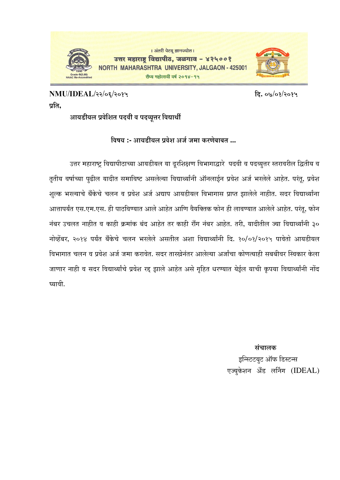

## **NMU/IDEAL/22/06/2015 פü. 07/01/2015**  प्रति**.**

<u>आयडीयल प्रवेशित पदवी व पदव्यूत्तर विद्यार्थी</u>

**विषय :- आयडीयल प्रवेश अर्ज जमा करणेबाबत ...** 

उत्तर महाराष्ट्र विद्यापीठाच्या आयडीयल या दूरशिक्षण विभागाद्वारे पदवी व पदव्युत्तर स्तरावरील द्वितीय व तृतीय वर्षाच्या पूढील यादीत समाविष्ट असलेल्या विद्यार्थ्यांनी ऑनलाईन प्रवेश अर्ज भरलेले आहेत. परंतू, प्रवेश शुल्क भरल्याचे बँकेचे चलन व प्रवेश अर्ज अद्याप आयडीयल विभागास प्राप्त झालेले नाहीत. सदर विद्यार्थ्यांना आत्तापर्यंत एस.एम.एस. ही पाठविण्यात आले आहेत आणि वैयक्तिक फोन ही लावण्यात आलेले आहेत. परंत, फोन −नंबर उचलत नाहीत व काही क्रमांक बंद आहेत तर काही राँग नंबर आहेत. तरी, यादीतील ज्या विद्यार्थ्यांनी ३० −नोव्हेंबर, २०१४ पर्यंत बँकेचे चलन भरलेले असतील अशा विद्यार्थ्यांनी दि. १०/०१/२०१५ पावेतो आयडीयल विभागात चलन व प्रवेश अर्ज जमा करावेत. सदर तारखेनंतर आलेल्या अर्जांचा कोणत्याही सबबीवर स्विकार केला जाणार नाही व सदर विद्यार्थ्यांचे प्रवेश रद्द झाले आहेत असे गृहित धरण्यात येईल याची कृपया विद्यार्थ्यांनी नोंद घ्यावी.

 **ÃÖÓ"ÖÖ»Öú**  इन्स्टिटयुट ऑफ डिस्टन्स एज्यकेशन अँड लर्निंग (IDEAL)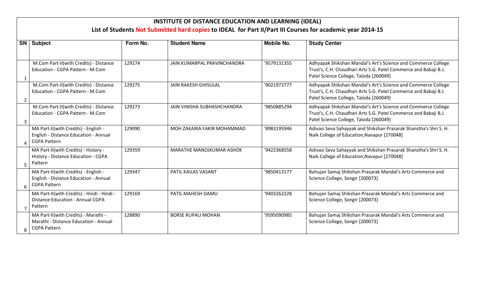## **INSTITUTE OF DISTANCE EDUCATION AND LEARNING (IDEAL)**

## **List of Students Not Submitted hard copies to IDEAL for Part II/Part III Courses for academic year 2014-15**

| <b>SN</b>               | <b>Subject</b>                                                                                       | Form No. | <b>Student Name</b>         | Mobile No.  | <b>Study Center</b>                                                                                                                                                         |
|-------------------------|------------------------------------------------------------------------------------------------------|----------|-----------------------------|-------------|-----------------------------------------------------------------------------------------------------------------------------------------------------------------------------|
|                         | M.Com Part-II(with Credits) - Distance<br>Education - CGPA Pattern - M.Com                           | 129274   | JAIN KUMARPAL PRAVINCHANDRA | '9579131355 | Adhyapak Shikshan Mandal's Art's Science and Commerce College<br>Trust's, C.H. Chaudhari Arts S.G. Patel Commerce and Babaji B.J.<br>Patel Science College, Taloda [260049] |
| 2                       | M.Com Part-II(with Credits) - Distance<br>Education - CGPA Pattern - M.Com                           | 129275   | <b>JAIN RAKESH GHISULAL</b> | '9021972777 | Adhyapak Shikshan Mandal's Art's Science and Commerce College<br>Trust's, C.H. Chaudhari Arts S.G. Patel Commerce and Babaji B.J.<br>Patel Science College, Taloda [260049] |
| 3                       | M.Com Part-II(with Credits) - Distance<br>Education - CGPA Pattern - M.Com                           | 129273   | JAIN VINISHA SUBHASHCHANDRA | '9850885294 | Adhyapak Shikshan Mandal's Art's Science and Commerce College<br>Trust's, C.H. Chaudhari Arts S.G. Patel Commerce and Babaji B.J.<br>Patel Science College, Taloda [260049] |
|                         | MA Part-II(with Credits) - English -<br>English - Distance Education - Annual<br><b>CGPA Pattern</b> | 129090   | MOH ZAKARIA FAKIR MOHAMMAD  | '8983195946 | Adivasi Seva Sahayyak and Shikshan Prasarak Shanstha's Shri S. H.<br>Naik College of Education, Navapur [270048]                                                            |
| 5                       | MA Part-II(with Credits) - History -<br>History - Distance Education - CGPA<br>Pattern               | 129359   | MARATHE MANOJKUMAR ASHOK    | '9422368558 | Adivasi Seva Sahayyak and Shikshan Prasarak Shanstha's Shri S. H.<br>Naik College of Education, Navapur [270048]                                                            |
| 6                       | MA Part-II(with Credits) - English -<br>English - Distance Education - Annual<br><b>CGPA Pattern</b> | 129347   | PATIL KAILAS VASANT         | '9850413177 | Bahujan Samaj Shikshan Prasarak Mandal's Arts Commerce and<br>Science College, Songir [200073]                                                                              |
|                         | MA Part-II(with Credits) - Hindi - Hindi -<br><b>Distance Education - Annual CGPA</b><br>Pattern     | 129169   | PATIL MAHESH DAMU           | '9403262228 | Bahujan Samaj Shikshan Prasarak Mandal's Arts Commerce and<br>Science College, Songir [200073]                                                                              |
| $\mathsf{\overline{R}}$ | MA Part-II(with Credits) - Marathi -<br>Marathi - Distance Education - Annual<br><b>CGPA Pattern</b> | 128890   | <b>BORSE RUPALI MOHAN</b>   | '9595090985 | Bahujan Samaj Shikshan Prasarak Mandal's Arts Commerce and<br>Science College, Songir [200073]                                                                              |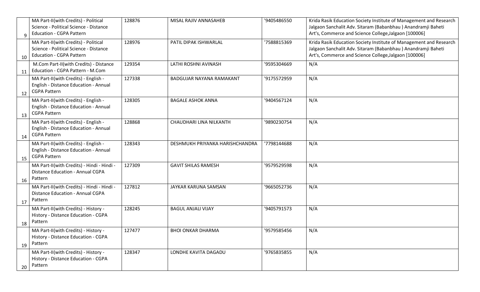|              | MA Part-II(with Credits) - Political       | 128876 | MISAL RAJIV ANNASAHEB           | '9405486550 | Krida Rasik Education Society Institute of Management and Research |
|--------------|--------------------------------------------|--------|---------------------------------|-------------|--------------------------------------------------------------------|
|              | Science - Political Science - Distance     |        |                                 |             | Jalgaon Sanchalit Adv. Sitaram (Babanbhau) Anandramji Baheti       |
| $\mathsf{q}$ | <b>Education - CGPA Pattern</b>            |        |                                 |             | Art's, Commerce and Science College, Jalgaon [100006]              |
|              | MA Part-II(with Credits) - Political       | 128976 | PATIL DIPAK ISHWARLAL           | '7588815369 | Krida Rasik Education Society Institute of Management and Research |
|              | Science - Political Science - Distance     |        |                                 |             | Jalgaon Sanchalit Adv. Sitaram (Babanbhau) Anandramji Baheti       |
| 10           | <b>Education - CGPA Pattern</b>            |        |                                 |             | Art's, Commerce and Science College, Jalgaon [100006]              |
|              | M.Com Part-II(with Credits) - Distance     | 129354 | LATHI ROSHNI AVINASH            | '9595304669 | N/A                                                                |
| 11           | Education - CGPA Pattern - M.Com           |        |                                 |             |                                                                    |
|              | MA Part-II(with Credits) - English -       | 127338 | <b>BADGUJAR NAYANA RAMAKANT</b> | '9175572959 | N/A                                                                |
|              | English - Distance Education - Annual      |        |                                 |             |                                                                    |
| 12           | <b>CGPA Pattern</b>                        |        |                                 |             |                                                                    |
|              | MA Part-II(with Credits) - English -       | 128305 | <b>BAGALE ASHOK ANNA</b>        | '9404567124 | N/A                                                                |
|              | English - Distance Education - Annual      |        |                                 |             |                                                                    |
| 13           | <b>CGPA Pattern</b>                        |        |                                 |             |                                                                    |
|              | MA Part-II(with Credits) - English -       | 128868 | CHAUDHARI LINA NILKANTH         | '9890230754 | N/A                                                                |
|              | English - Distance Education - Annual      |        |                                 |             |                                                                    |
| 14           | <b>CGPA Pattern</b>                        |        |                                 |             |                                                                    |
|              | MA Part-II(with Credits) - English -       | 128343 | DESHMUKH PRIYANKA HARISHCHANDRA | '7798144688 | N/A                                                                |
|              | English - Distance Education - Annual      |        |                                 |             |                                                                    |
| 15           | <b>CGPA Pattern</b>                        |        |                                 |             |                                                                    |
|              | MA Part-II(with Credits) - Hindi - Hindi - | 127309 | <b>GAVIT SHILAS RAMESH</b>      | '9579529598 | N/A                                                                |
|              | <b>Distance Education - Annual CGPA</b>    |        |                                 |             |                                                                    |
| 16           | Pattern                                    |        |                                 |             |                                                                    |
|              | MA Part-II(with Credits) - Hindi - Hindi - | 127812 | JAYKAR KARUNA SAMSAN            | '9665052736 | N/A                                                                |
|              | <b>Distance Education - Annual CGPA</b>    |        |                                 |             |                                                                    |
| 17           | Pattern                                    |        |                                 |             |                                                                    |
|              | MA Part-II(with Credits) - History -       | 128245 | <b>BAGUL ANJALI VIJAY</b>       | '9405791573 | N/A                                                                |
|              | History - Distance Education - CGPA        |        |                                 |             |                                                                    |
| 18           | Pattern                                    |        |                                 |             |                                                                    |
|              | MA Part-II(with Credits) - History -       | 127477 | <b>BHOI ONKAR DHARMA</b>        | '9579585456 | N/A                                                                |
|              | History - Distance Education - CGPA        |        |                                 |             |                                                                    |
| 19           | Pattern                                    |        |                                 |             |                                                                    |
|              | MA Part-II(with Credits) - History -       | 128347 | LONDHE KAVITA DAGADU            | '9765835855 | N/A                                                                |
|              | History - Distance Education - CGPA        |        |                                 |             |                                                                    |
| 20           | Pattern                                    |        |                                 |             |                                                                    |
|              |                                            |        |                                 |             |                                                                    |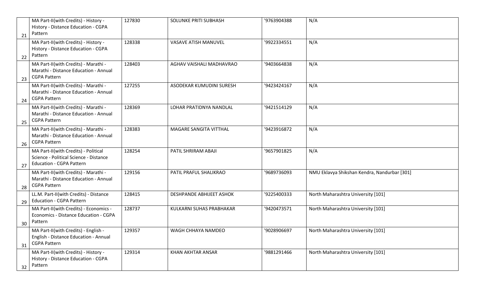| 21 | MA Part-II(with Credits) - History -<br>History - Distance Education - CGPA<br>Pattern                            | 127830 | <b>SOLUNKE PRITI SUBHASH</b>    | '9763904388 | N/A                                          |
|----|-------------------------------------------------------------------------------------------------------------------|--------|---------------------------------|-------------|----------------------------------------------|
| 22 | MA Part-II(with Credits) - History -<br>History - Distance Education - CGPA<br>Pattern                            | 128338 | <b>VASAVE ATISH MANUVEL</b>     | '9922334551 | N/A                                          |
| 23 | MA Part-II(with Credits) - Marathi -<br>Marathi - Distance Education - Annual<br><b>CGPA Pattern</b>              | 128403 | AGHAV VAISHALI MADHAVRAO        | '9403664838 | N/A                                          |
| 24 | MA Part-II(with Credits) - Marathi -<br>Marathi - Distance Education - Annual<br><b>CGPA Pattern</b>              | 127255 | ASODEKAR KUMUDINI SURESH        | '9423424167 | N/A                                          |
| 25 | MA Part-II(with Credits) - Marathi -<br>Marathi - Distance Education - Annual<br><b>CGPA Pattern</b>              | 128369 | LOHAR PRATIDNYA NANDLAL         | '9421514129 | N/A                                          |
| 26 | MA Part-II(with Credits) - Marathi -<br>Marathi - Distance Education - Annual<br><b>CGPA Pattern</b>              | 128383 | MAGARE SANGITA VITTHAL          | '9423916872 | N/A                                          |
| 27 | MA Part-II(with Credits) - Political<br>Science - Political Science - Distance<br><b>Education - CGPA Pattern</b> | 128254 | PATIL SHRIRAM ABAJI             | '9657901825 | N/A                                          |
| 28 | MA Part-II(with Credits) - Marathi -<br>Marathi - Distance Education - Annual<br><b>CGPA Pattern</b>              | 129156 | PATIL PRAFUL SHALIKRAO          | '9689736093 | NMU Eklavya Shikshan Kendra, Nandurbar [301] |
| 29 | LL.M. Part-II(with Credits) - Distance<br><b>Education - CGPA Pattern</b>                                         | 128415 | <b>DESHPANDE ABHIJEET ASHOK</b> | '9225400333 | North Maharashtra University [101]           |
| 30 | MA Part-II(with Credits) - Economics -<br>Economics - Distance Education - CGPA<br>Pattern                        | 128737 | KULKARNI SUHAS PRABHAKAR        | '9420473571 | North Maharashtra University [101]           |
| 31 | MA Part-II(with Credits) - English -<br>English - Distance Education - Annual<br><b>CGPA Pattern</b>              | 129357 | WAGH CHHAYA NAMDEO              | '9028906697 | North Maharashtra University [101]           |
| 32 | MA Part-II(with Credits) - History -<br>History - Distance Education - CGPA<br>Pattern                            | 129314 | KHAN AKHTAR ANSAR               | '9881291466 | North Maharashtra University [101]           |